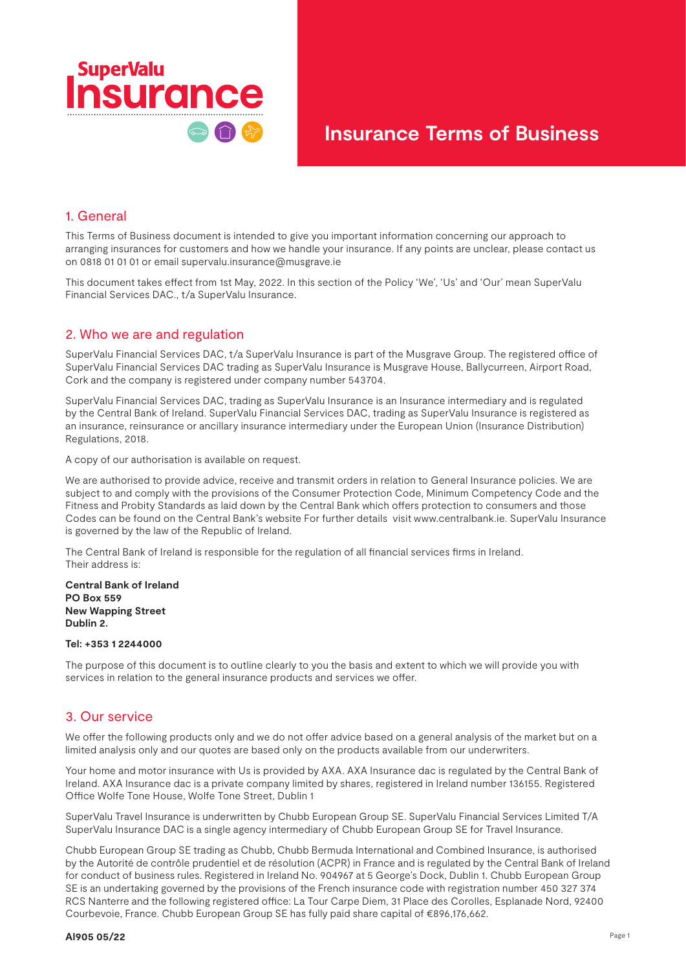

#### 1. General

This Terms of Business document is intended to give you important information concerning our approach to arranging insurances for customers and how we handle your insurance. If any points are unclear, please contact us on 0818 01 01 01 or email supervalu.insurance@musgrave.ie

This document takes effect from 1st May, 2022. In this section of the Policy 'We', 'Us' and 'Our' mean SuperValu Financial Services DAC., t/a SuperValu Insurance.

### 2. Who we are and regulation

SuperValu Financial Services DAC, t/a SuperValu Insurance is part of the Musgrave Group. The registered office of SuperValu Financial Services DAC trading as SuperValu Insurance is Musgrave House, Ballycurreen, Airport Road, Cork and the company is registered under company number 543704.

SuperValu Financial Services DAC, trading as SuperValu Insurance is an Insurance intermediary and is regulated by the Central Bank of Ireland. SuperValu Financial Services DAC, trading as SuperValu Insurance is registered as an insurance, reinsurance or ancillary insurance intermediary under the European Union (Insurance Distribution) Regulations, 2018.

A copy of our authorisation is available on request.

We are authorised to provide advice, receive and transmit orders in relation to General Insurance policies. We are subject to and comply with the provisions of the Consumer Protection Code, Minimum Competency Code and the Fitness and Probity Standards as laid down by the Central Bank which offers protection to consumers and those Codes can be found on the Central Bank's website For further details visit www.centralbank.ie. SuperValu Insurance is governed by the law of the Republic of Ireland.

The Central Bank of Ireland is responsible for the regulation of all financial services firms in Ireland. Their address is:

**Central Bank of Ireland PO Box 559 New Wapping Street Dublin 2.** 

#### **Tel: +353 1 2244000**

The purpose of this document is to outline clearly to you the basis and extent to which we will provide you with services in relation to the general insurance products and services we offer.

#### 3. Our service

We offer the following products only and we do not offer advice based on a general analysis of the market but on a limited analysis only and our quotes are based only on the products available from our underwriters.

Your home and motor insurance with Us is provided by AXA. AXA Insurance dac is regulated by the Central Bank of Ireland. AXA Insurance dac is a private company limited by shares, registered in Ireland number 136155. Registered Office Wolfe Tone House, Wolfe Tone Street, Dublin 1

SuperValu Travel Insurance is underwritten by Chubb European Group SE. SuperValu Financial Services Limited T/A SuperValu Insurance DAC is a single agency intermediary of Chubb European Group SE for Travel Insurance.

Chubb European Group SE trading as Chubb, Chubb Bermuda International and Combined Insurance, is authorised by the Autorité de contrôle prudentiel et de résolution (ACPR) in France and is regulated by the Central Bank of Ireland for conduct of business rules. Registered in Ireland No. 904967 at 5 George's Dock, Dublin 1. Chubb European Group SE is an undertaking governed by the provisions of the French insurance code with registration number 450 327 374 RCS Nanterre and the following registered office: La Tour Carpe Diem, 31 Place des Corolles, Esplanade Nord, 92400 Courbevoie, France. Chubb European Group SE has fully paid share capital of €896,176,662.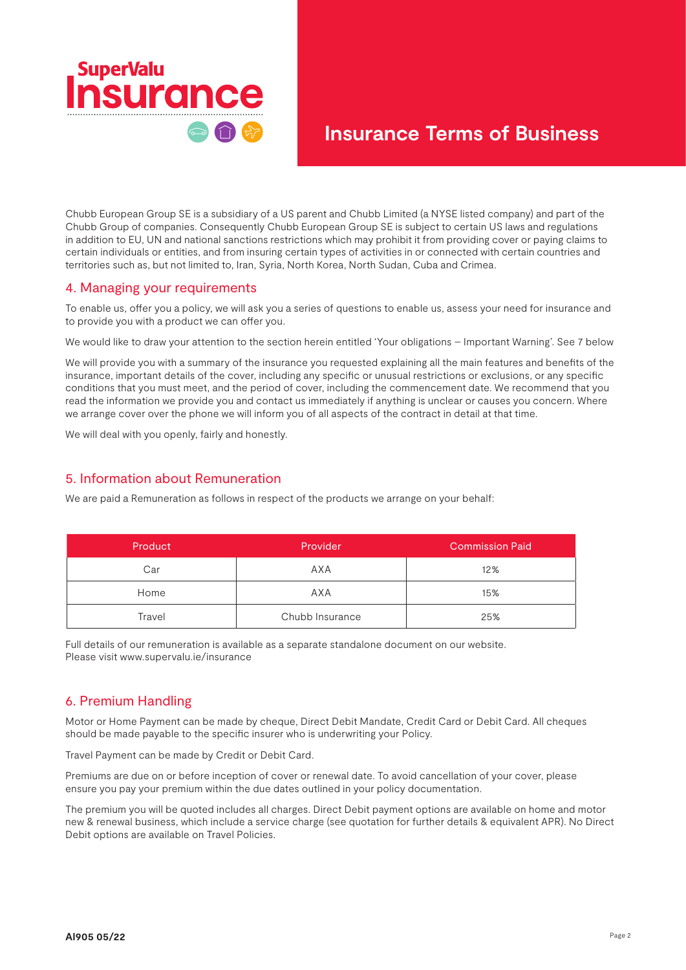

Chubb European Group SE is a subsidiary of a US parent and Chubb Limited (a NYSE listed company) and part of the Chubb Group of companies. Consequently Chubb European Group SE is subject to certain US laws and regulations in addition to EU, UN and national sanctions restrictions which may prohibit it from providing cover or paying claims to certain individuals or entities, and from insuring certain types of activities in or connected with certain countries and territories such as, but not limited to, Iran, Syria, North Korea, North Sudan, Cuba and Crimea.

### 4. Managing your requirements

To enable us, offer you a policy, we will ask you a series of questions to enable us, assess your need for insurance and to provide you with a product we can offer you.

We would like to draw your attention to the section herein entitled 'Your obligations – Important Warning'. See 7 below

We will provide you with a summary of the insurance you requested explaining all the main features and benefits of the insurance, important details of the cover, including any specific or unusual restrictions or exclusions, or any specific conditions that you must meet, and the period of cover, including the commencement date. We recommend that you read the information we provide you and contact us immediately if anything is unclear or causes you concern. Where we arrange cover over the phone we will inform you of all aspects of the contract in detail at that time.

We will deal with you openly, fairly and honestly.

## 5. Information about Remuneration

We are paid a Remuneration as follows in respect of the products we arrange on your behalf:

| Product | Provider        | <b>Commission Paid</b> |
|---------|-----------------|------------------------|
| Car     | AXA             | 12%                    |
| Home    | AXA             | 15%                    |
| Travel  | Chubb Insurance | 25%                    |

Full details of our remuneration is available as a separate standalone document on our website. Please visit www.supervalu.ie/insurance

## 6. Premium Handling

Motor or Home Payment can be made by cheque, Direct Debit Mandate, Credit Card or Debit Card. All cheques should be made payable to the specific insurer who is underwriting your Policy.

Travel Payment can be made by Credit or Debit Card.

Premiums are due on or before inception of cover or renewal date. To avoid cancellation of your cover, please ensure you pay your premium within the due dates outlined in your policy documentation.

The premium you will be quoted includes all charges. Direct Debit payment options are available on home and motor new & renewal business, which include a service charge (see quotation for further details & equivalent APR). No Direct Debit options are available on Travel Policies.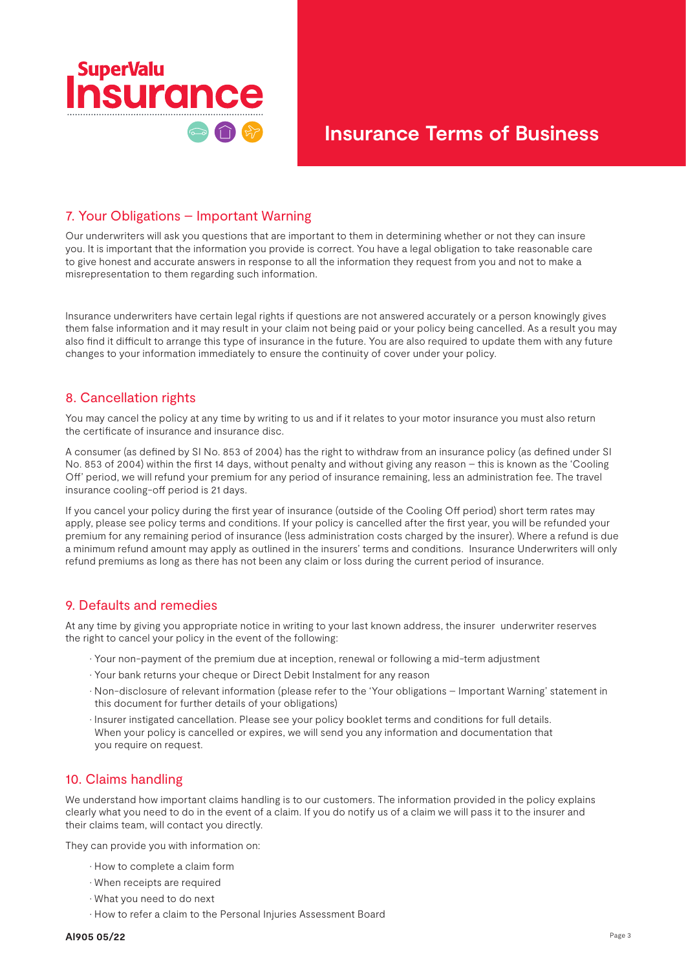

## 7. Your Obligations – Important Warning

Our underwriters will ask you questions that are important to them in determining whether or not they can insure you. It is important that the information you provide is correct. You have a legal obligation to take reasonable care to give honest and accurate answers in response to all the information they request from you and not to make a misrepresentation to them regarding such information.

Insurance underwriters have certain legal rights if questions are not answered accurately or a person knowingly gives them false information and it may result in your claim not being paid or your policy being cancelled. As a result you may also find it difficult to arrange this type of insurance in the future. You are also required to update them with any future changes to your information immediately to ensure the continuity of cover under your policy.

## 8. Cancellation rights

You may cancel the policy at any time by writing to us and if it relates to your motor insurance you must also return the certificate of insurance and insurance disc.

A consumer (as defined by SI No. 853 of 2004) has the right to withdraw from an insurance policy (as defined under SI No. 853 of 2004) within the first 14 days, without penalty and without giving any reason – this is known as the 'Cooling Off' period, we will refund your premium for any period of insurance remaining, less an administration fee. The travel insurance cooling-off period is 21 days.

If you cancel your policy during the first year of insurance (outside of the Cooling Off period) short term rates may apply, please see policy terms and conditions. If your policy is cancelled after the first year, you will be refunded your premium for any remaining period of insurance (less administration costs charged by the insurer). Where a refund is due a minimum refund amount may apply as outlined in the insurers' terms and conditions. Insurance Underwriters will only refund premiums as long as there has not been any claim or loss during the current period of insurance.

## 9. Defaults and remedies

At any time by giving you appropriate notice in writing to your last known address, the insurer underwriter reserves the right to cancel your policy in the event of the following:

- Your non-payment of the premium due at inception, renewal or following a mid-term adjustment
- Your bank returns your cheque or Direct Debit Instalment for any reason
- Non-disclosure of relevant information (please refer to the 'Your obligations Important Warning' statement in this document for further details of your obligations)
- Insurer instigated cancellation. Please see your policy booklet terms and conditions for full details. When your policy is cancelled or expires, we will send you any information and documentation that you require on request.

## 10. Claims handling

We understand how important claims handling is to our customers. The information provided in the policy explains clearly what you need to do in the event of a claim. If you do notify us of a claim we will pass it to the insurer and their claims team, will contact you directly.

They can provide you with information on:

- How to complete a claim form
- When receipts are required
- What you need to do next
- How to refer a claim to the Personal Injuries Assessment Board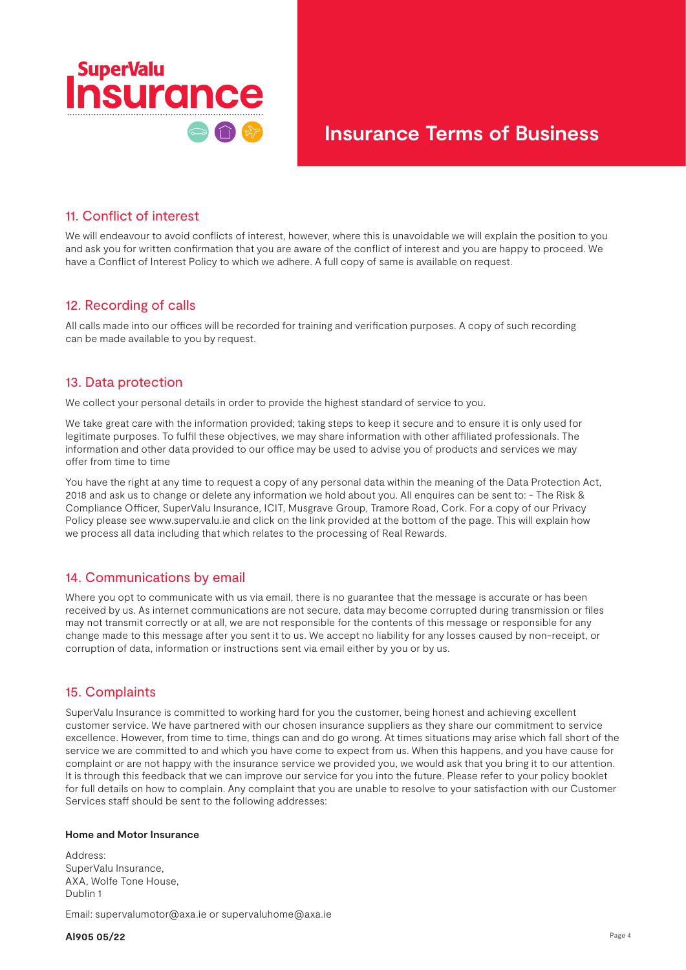

#### 11. Conflict of interest

We will endeavour to avoid conflicts of interest, however, where this is unavoidable we will explain the position to you and ask you for written confirmation that you are aware of the conflict of interest and you are happy to proceed. We have a Conflict of Interest Policy to which we adhere. A full copy of same is available on request.

### 12. Recording of calls

All calls made into our offices will be recorded for training and verification purposes. A copy of such recording can be made available to you by request.

### 13. Data protection

We collect your personal details in order to provide the highest standard of service to you.

We take great care with the information provided; taking steps to keep it secure and to ensure it is only used for legitimate purposes. To fulfil these objectives, we may share information with other affiliated professionals. The information and other data provided to our office may be used to advise you of products and services we may offer from time to time

You have the right at any time to request a copy of any personal data within the meaning of the Data Protection Act, 2018 and ask us to change or delete any information we hold about you. All enquires can be sent to: - The Risk & Compliance Officer, SuperValu Insurance, ICIT, Musgrave Group, Tramore Road, Cork. For a copy of our Privacy Policy please see www.supervalu.ie and click on the link provided at the bottom of the page. This will explain how we process all data including that which relates to the processing of Real Rewards.

### 14. Communications by email

Where you opt to communicate with us via email, there is no guarantee that the message is accurate or has been received by us. As internet communications are not secure, data may become corrupted during transmission or files may not transmit correctly or at all, we are not responsible for the contents of this message or responsible for any change made to this message after you sent it to us. We accept no liability for any losses caused by non-receipt, or corruption of data, information or instructions sent via email either by you or by us.

### 15. Complaints

SuperValu Insurance is committed to working hard for you the customer, being honest and achieving excellent customer service. We have partnered with our chosen insurance suppliers as they share our commitment to service excellence. However, from time to time, things can and do go wrong. At times situations may arise which fall short of the service we are committed to and which you have come to expect from us. When this happens, and you have cause for complaint or are not happy with the insurance service we provided you, we would ask that you bring it to our attention. It is through this feedback that we can improve our service for you into the future. Please refer to your policy booklet for full details on how to complain. Any complaint that you are unable to resolve to your satisfaction with our Customer Services staff should be sent to the following addresses:

#### **Home and Motor Insurance**

Address: SuperValu Insurance, AXA, Wolfe Tone House, Dublin 1

Email: supervalumotor@axa.ie or supervaluhome@axa.ie

**AI905 05/22**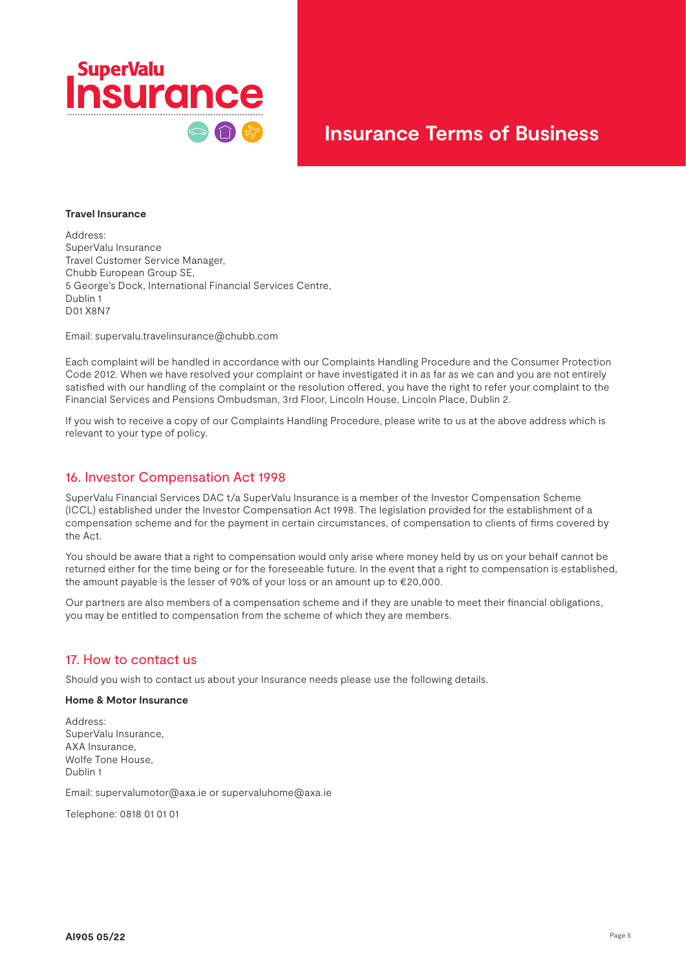

#### **Travel Insurance**

Address: SuperValu Insurance Travel Customer Service Manager, Chubb European Group SE, 5 George's Dock, International Financial Services Centre, Dublin 1 D01 X8N7

Email: supervalu.travelinsurance@chubb.com

Each complaint will be handled in accordance with our Complaints Handling Procedure and the Consumer Protection Code 2012. When we have resolved your complaint or have investigated it in as far as we can and you are not entirely satisfied with our handling of the complaint or the resolution offered, you have the right to refer your complaint to the Financial Services and Pensions Ombudsman, 3rd Floor, Lincoln House, Lincoln Place, Dublin 2.

If you wish to receive a copy of our Complaints Handling Procedure, please write to us at the above address which is relevant to your type of policy.

#### 16. Investor Compensation Act 1998

SuperValu Financial Services DAC t/a SuperValu Insurance is a member of the Investor Compensation Scheme (ICCL) established under the Investor Compensation Act 1998. The legislation provided for the establishment of a compensation scheme and for the payment in certain circumstances, of compensation to clients of firms covered by the Act.

You should be aware that a right to compensation would only arise where money held by us on your behalf cannot be returned either for the time being or for the foreseeable future. In the event that a right to compensation is established, the amount payable is the lesser of 90% of your loss or an amount up to €20,000.

Our partners are also members of a compensation scheme and if they are unable to meet their financial obligations, you may be entitled to compensation from the scheme of which they are members.

#### 17. How to contact us

Should you wish to contact us about your Insurance needs please use the following details.

#### **Home & Motor Insurance**

Address: SuperValu Insurance, AXA Insurance, Wolfe Tone House, Dublin 1

Email: supervalumotor@axa.ie or supervaluhome@axa.ie

Telephone: 0818 01 01 01